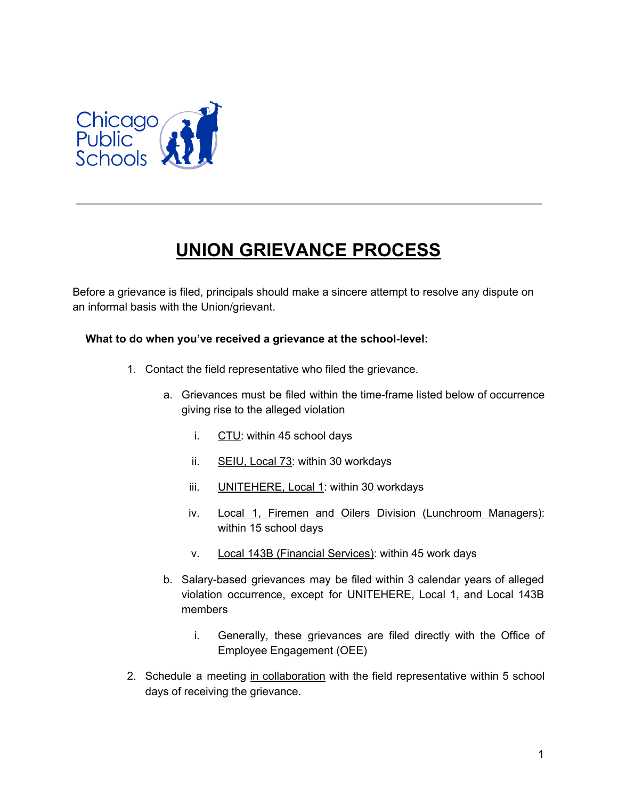

## **UNION GRIEVANCE PROCESS**

Before a grievance is filed, principals should make a sincere attempt to resolve any dispute on an informal basis with the Union/grievant.

## **What to do when you've received a grievance at the school-level:**

- 1. Contact the field representative who filed the grievance.
	- a. Grievances must be filed within the time-frame listed below of occurrence giving rise to the alleged violation
		- i.  $CTU$ : within 45 school days
		- ii. SEIU, Local 73: within 30 workdays
		- iii. UNITEHERE, Local 1: within 30 workdays
		- iv. Local 1, Firemen and Oilers Division (Lunchroom Managers): within 15 school days
		- v. Local 143B (Financial Services): within 45 work days
	- b. Salary-based grievances may be filed within 3 calendar years of alleged violation occurrence, except for UNITEHERE, Local 1, and Local 143B members
		- i. Generally, these grievances are filed directly with the Office of Employee Engagement (OEE)
- 2. Schedule a meeting in collaboration with the field representative within 5 school days of receiving the grievance.